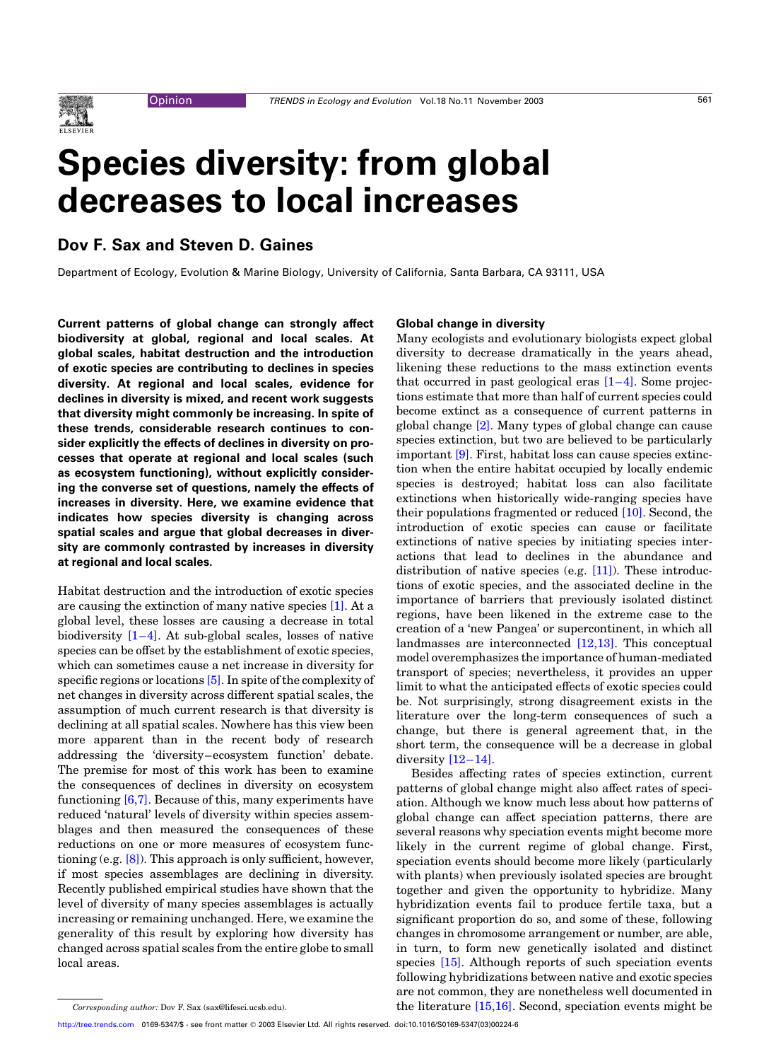# Species diversity: from global decreases to local increases

Dov F. Sax and Steven D. Gaines

Department of Ecology, Evolution & Marine Biology, University of California, Santa Barbara, CA 93111, USA

Current patterns of global change can strongly affect biodiversity at global, regional and local scales. At global scales, habitat destruction and the introduction of exotic species are contributing to declines in species diversity. At regional and local scales, evidence for declines in diversity is mixed, and recent work suggests that diversity might commonly be increasing. In spite of these trends, considerable research continues to consider explicitly the effects of declines in diversity on processes that operate at regional and local scales (such as ecosystem functioning), without explicitly considering the converse set of questions, namely the effects of increases in diversity. Here, we examine evidence that indicates how species diversity is changing across spatial scales and argue that global decreases in diversity are commonly contrasted by increases in diversity at regional and local scales.

Habitat destruction and the introduction of exotic species are causing the extinction of many native species [\[1\].](#page-4-0) At a global level, these losses are causing a decrease in total biodiversity  $[1-4]$ . At sub-global scales, losses of native species can be offset by the establishment of exotic species, which can sometimes cause a net increase in diversity for specific regions or locations [\[5\].](#page-4-0) In spite of the complexity of net changes in diversity across different spatial scales, the assumption of much current research is that diversity is declining at all spatial scales. Nowhere has this view been more apparent than in the recent body of research addressing the 'diversity–ecosystem function' debate. The premise for most of this work has been to examine the consequences of declines in diversity on ecosystem functioning [\[6,7\].](#page-4-0) Because of this, many experiments have reduced 'natural' levels of diversity within species assemblages and then measured the consequences of these reductions on one or more measures of ecosystem functioning (e.g. [\[8\]](#page-4-0)). This approach is only sufficient, however, if most species assemblages are declining in diversity. Recently published empirical studies have shown that the level of diversity of many species assemblages is actually increasing or remaining unchanged. Here, we examine the generality of this result by exploring how diversity has changed across spatial scales from the entire globe to small local areas.

Many ecologists and evolutionary biologists expect global diversity to decrease dramatically in the years ahead, likening these reductions to the mass extinction events that occurred in past geological eras [\[1–4\]](#page-4-0). Some projections estimate that more than half of current species could become extinct as a consequence of current patterns in global change [\[2\]](#page-4-0). Many types of global change can cause species extinction, but two are believed to be particularly important [\[9\].](#page-4-0) First, habitat loss can cause species extinction when the entire habitat occupied by locally endemic species is destroyed; habitat loss can also facilitate extinctions when historically wide-ranging species have their populations fragmented or reduced [\[10\].](#page-4-0) Second, the introduction of exotic species can cause or facilitate extinctions of native species by initiating species interactions that lead to declines in the abundance and distribution of native species (e.g. [\[11\]](#page-4-0)). These introductions of exotic species, and the associated decline in the importance of barriers that previously isolated distinct regions, have been likened in the extreme case to the creation of a 'new Pangea' or supercontinent, in which all landmasses are interconnected [\[12,13\].](#page-4-0) This conceptual model overemphasizes the importance of human-mediated transport of species; nevertheless, it provides an upper limit to what the anticipated effects of exotic species could be. Not surprisingly, strong disagreement exists in the literature over the long-term consequences of such a change, but there is general agreement that, in the short term, the consequence will be a decrease in global diversity  $[12-14]$ .

Besides affecting rates of species extinction, current patterns of global change might also affect rates of speciation. Although we know much less about how patterns of global change can affect speciation patterns, there are several reasons why speciation events might become more likely in the current regime of global change. First, speciation events should become more likely (particularly with plants) when previously isolated species are brought together and given the opportunity to hybridize. Many hybridization events fail to produce fertile taxa, but a significant proportion do so, and some of these, following changes in chromosome arrangement or number, are able, in turn, to form new genetically isolated and distinct species [\[15\]](#page-4-0). Although reports of such speciation events following hybridizations between native and exotic species are not common, they are nonetheless well documented in Corresponding author: Dov F. Sax (sax@lifesci.ucsb.edu). the literature [\[15,16\].](#page-4-0) Second, speciation events might be

Global change in diversity

[http://tree.trends.com](http://www.trends.com) 0169-5347/\$ - see front matter @ 2003 Elsevier Ltd. All rights reserved. doi:10.1016/S0169-5347(03)00224-6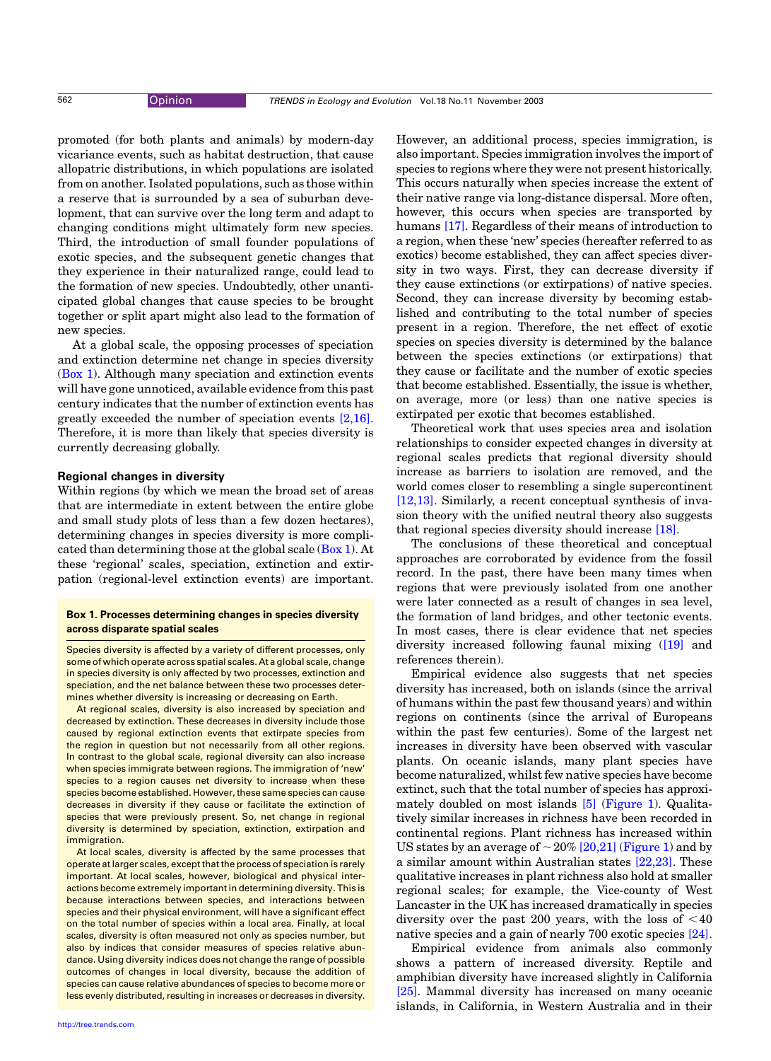<span id="page-1-0"></span>promoted (for both plants and animals) by modern-day vicariance events, such as habitat destruction, that cause allopatric distributions, in which populations are isolated from on another. Isolated populations, such as those within a reserve that is surrounded by a sea of suburban development, that can survive over the long term and adapt to changing conditions might ultimately form new species. Third, the introduction of small founder populations of exotic species, and the subsequent genetic changes that they experience in their naturalized range, could lead to the formation of new species. Undoubtedly, other unanticipated global changes that cause species to be brought together or split apart might also lead to the formation of new species.

At a global scale, the opposing processes of speciation and extinction determine net change in species diversity (Box 1). Although many speciation and extinction events will have gone unnoticed, available evidence from this past century indicates that the number of extinction events has greatly exceeded the number of speciation events [\[2,16\]](#page-4-0). Therefore, it is more than likely that species diversity is currently decreasing globally.

#### Regional changes in diversity

Within regions (by which we mean the broad set of areas that are intermediate in extent between the entire globe and small study plots of less than a few dozen hectares), determining changes in species diversity is more complicated than determining those at the global scale  $(Box 1)$ . At these 'regional' scales, speciation, extinction and extirpation (regional-level extinction events) are important.

## Box 1. Processes determining changes in species diversity across disparate spatial scales

Species diversity is affected by a variety of different processes, only some of which operate across spatial scales. At a global scale, change in species diversity is only affected by two processes, extinction and speciation, and the net balance between these two processes determines whether diversity is increasing or decreasing on Earth.

At regional scales, diversity is also increased by speciation and decreased by extinction. These decreases in diversity include those caused by regional extinction events that extirpate species from the region in question but not necessarily from all other regions. In contrast to the global scale, regional diversity can also increase when species immigrate between regions. The immigration of 'new' species to a region causes net diversity to increase when these species become established. However, these same species can cause decreases in diversity if they cause or facilitate the extinction of species that were previously present. So, net change in regional diversity is determined by speciation, extinction, extirpation and immigration.

At local scales, diversity is affected by the same processes that operate at larger scales, except that the process of speciation is rarely important. At local scales, however, biological and physical interactions become extremely important in determining diversity. This is because interactions between species, and interactions between species and their physical environment, will have a significant effect on the total number of species within a local area. Finally, at local scales, diversity is often measured not only as species number, but also by indices that consider measures of species relative abundance. Using diversity indices does not change the range of possible outcomes of changes in local diversity, because the addition of species can cause relative abundances of species to become more or less evenly distributed, resulting in increases or decreases in diversity. However, an additional process, species immigration, is also important. Species immigration involves the import of species to regions where they were not present historically. This occurs naturally when species increase the extent of their native range via long-distance dispersal. More often, however, this occurs when species are transported by humans [\[17\]](#page-4-0). Regardless of their means of introduction to a region, when these 'new' species (hereafter referred to as exotics) become established, they can affect species diversity in two ways. First, they can decrease diversity if they cause extinctions (or extirpations) of native species. Second, they can increase diversity by becoming established and contributing to the total number of species present in a region. Therefore, the net effect of exotic species on species diversity is determined by the balance between the species extinctions (or extirpations) that they cause or facilitate and the number of exotic species that become established. Essentially, the issue is whether, on average, more (or less) than one native species is extirpated per exotic that becomes established.

Theoretical work that uses species area and isolation relationships to consider expected changes in diversity at regional scales predicts that regional diversity should increase as barriers to isolation are removed, and the world comes closer to resembling a single supercontinent [\[12,13\].](#page-4-0) Similarly, a recent conceptual synthesis of invasion theory with the unified neutral theory also suggests that regional species diversity should increase [\[18\]](#page-4-0).

The conclusions of these theoretical and conceptual approaches are corroborated by evidence from the fossil record. In the past, there have been many times when regions that were previously isolated from one another were later connected as a result of changes in sea level, the formation of land bridges, and other tectonic events. In most cases, there is clear evidence that net species diversity increased following faunal mixing ([\[19\]](#page-4-0) and references therein).

Empirical evidence also suggests that net species diversity has increased, both on islands (since the arrival of humans within the past few thousand years) and within regions on continents (since the arrival of Europeans within the past few centuries). Some of the largest net increases in diversity have been observed with vascular plants. On oceanic islands, many plant species have become naturalized, whilst few native species have become extinct, such that the total number of species has approximately doubled on most islands [\[5\]](#page-4-0) [\(Figure 1\)](#page-2-0). Qualitatively similar increases in richness have been recorded in continental regions. Plant richness has increased within US states by an average of  $\sim$  20% [\[20,21\]](#page-4-0) [\(Figure 1\)](#page-2-0) and by a similar amount within Australian states [\[22,23\]](#page-4-0). These qualitative increases in plant richness also hold at smaller regional scales; for example, the Vice-county of West Lancaster in the UK has increased dramatically in species diversity over the past 200 years, with the loss of  $\leq 40$ native species and a gain of nearly 700 exotic species [\[24\]](#page-4-0).

Empirical evidence from animals also commonly shows a pattern of increased diversity. Reptile and amphibian diversity have increased slightly in California [\[25\].](#page-4-0) Mammal diversity has increased on many oceanic islands, in California, in Western Australia and in their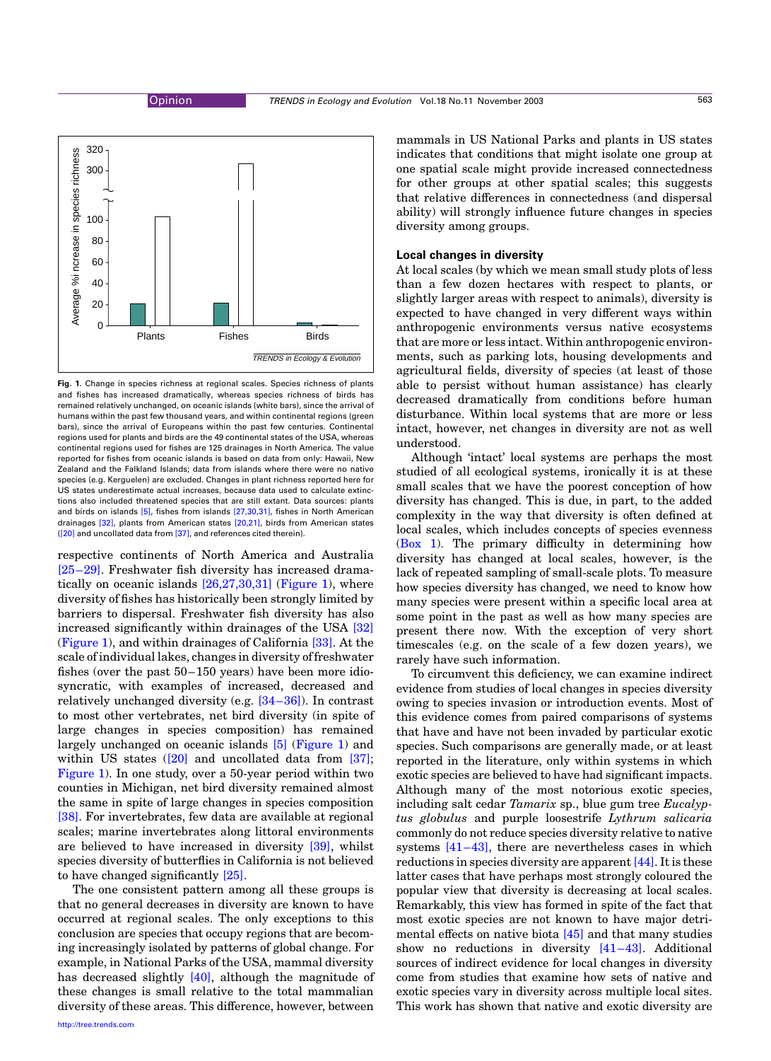<span id="page-2-0"></span>

Fig. 1. Change in species richness at regional scales. Species richness of plants and fishes has increased dramatically, whereas species richness of birds has remained relatively unchanged, on oceanic islands (white bars), since the arrival of humans within the past few thousand years, and within continental regions (green bars), since the arrival of Europeans within the past few centuries. Continental regions used for plants and birds are the 49 continental states of the USA, whereas continental regions used for fishes are 125 drainages in North America. The value reported for fishes from oceanic islands is based on data from only: Hawaii, New Zealand and the Falkland Islands; data from islands where there were no native species (e.g. Kerguelen) are excluded. Changes in plant richness reported here for US states underestimate actual increases, because data used to calculate extinctions also included threatened species that are still extant. Data sources: plants and birds on islands [\[5\],](#page-4-0) fishes from islands [\[27,30,31\],](#page-4-0) fishes in North American drainages [\[32\]](#page-5-0), plants from American states [\[20,21\],](#page-4-0) birds from American states ([\[20\]](#page-4-0) and uncollated data from [\[37\],](#page-5-0) and references cited therein).

respective continents of North America and Australia [\[25–29\]](#page-4-0). Freshwater fish diversity has increased dramatically on oceanic islands [\[26,27,30,31\]](#page-4-0) (Figure 1), where diversity of fishes has historically been strongly limited by barriers to dispersal. Freshwater fish diversity has also increased significantly within drainages of the USA [\[32\]](#page-5-0) (Figure 1), and within drainages of California [\[33\]](#page-5-0). At the scale of individual lakes, changes in diversity offreshwater fishes (over the past 50–150 years) have been more idiosyncratic, with examples of increased, decreased and relatively unchanged diversity (e.g. [\[34–36\]](#page-5-0)). In contrast to most other vertebrates, net bird diversity (in spite of large changes in species composition) has remained largely unchanged on oceanic islands [\[5\]](#page-4-0) (Figure 1) and within US states  $([20]$  $([20]$  and uncollated data from  $[37]$ ; Figure 1). In one study, over a 50-year period within two counties in Michigan, net bird diversity remained almost the same in spite of large changes in species composition [\[38\].](#page-5-0) For invertebrates, few data are available at regional scales; marine invertebrates along littoral environments are believed to have increased in diversity [\[39\],](#page-5-0) whilst species diversity of butterflies in California is not believed to have changed significantly [\[25\].](#page-4-0)

The one consistent pattern among all these groups is that no general decreases in diversity are known to have occurred at regional scales. The only exceptions to this conclusion are species that occupy regions that are becoming increasingly isolated by patterns of global change. For example, in National Parks of the USA, mammal diversity has decreased slightly [\[40\],](#page-5-0) although the magnitude of these changes is small relative to the total mammalian diversity of these areas. This difference, however, between mammals in US National Parks and plants in US states indicates that conditions that might isolate one group at one spatial scale might provide increased connectedness for other groups at other spatial scales; this suggests that relative differences in connectedness (and dispersal ability) will strongly influence future changes in species diversity among groups.

## Local changes in diversity

At local scales (by which we mean small study plots of less than a few dozen hectares with respect to plants, or slightly larger areas with respect to animals), diversity is expected to have changed in very different ways within anthropogenic environments versus native ecosystems that are more or less intact. Within anthropogenic environments, such as parking lots, housing developments and agricultural fields, diversity of species (at least of those able to persist without human assistance) has clearly decreased dramatically from conditions before human disturbance. Within local systems that are more or less intact, however, net changes in diversity are not as well understood.

Although 'intact' local systems are perhaps the most studied of all ecological systems, ironically it is at these small scales that we have the poorest conception of how diversity has changed. This is due, in part, to the added complexity in the way that diversity is often defined at local scales, which includes concepts of species evenness ([Box 1\)](#page-1-0). The primary difficulty in determining how diversity has changed at local scales, however, is the lack of repeated sampling of small-scale plots. To measure how species diversity has changed, we need to know how many species were present within a specific local area at some point in the past as well as how many species are present there now. With the exception of very short timescales (e.g. on the scale of a few dozen years), we rarely have such information.

To circumvent this deficiency, we can examine indirect evidence from studies of local changes in species diversity owing to species invasion or introduction events. Most of this evidence comes from paired comparisons of systems that have and have not been invaded by particular exotic species. Such comparisons are generally made, or at least reported in the literature, only within systems in which exotic species are believed to have had significant impacts. Although many of the most notorious exotic species, including salt cedar Tamarix sp., blue gum tree Eucalyptus globulus and purple loosestrife Lythrum salicaria commonly do not reduce species diversity relative to native systems  $[41-43]$ , there are nevertheless cases in which reductions in species diversity are apparent  $[44]$ . It is these latter cases that have perhaps most strongly coloured the popular view that diversity is decreasing at local scales. Remarkably, this view has formed in spite of the fact that most exotic species are not known to have major detrimental effects on native biota [\[45\]](#page-5-0) and that many studies show no reductions in diversity  $[41-43]$ . Additional sources of indirect evidence for local changes in diversity come from studies that examine how sets of native and exotic species vary in diversity across multiple local sites. This work has shown that native and exotic diversity are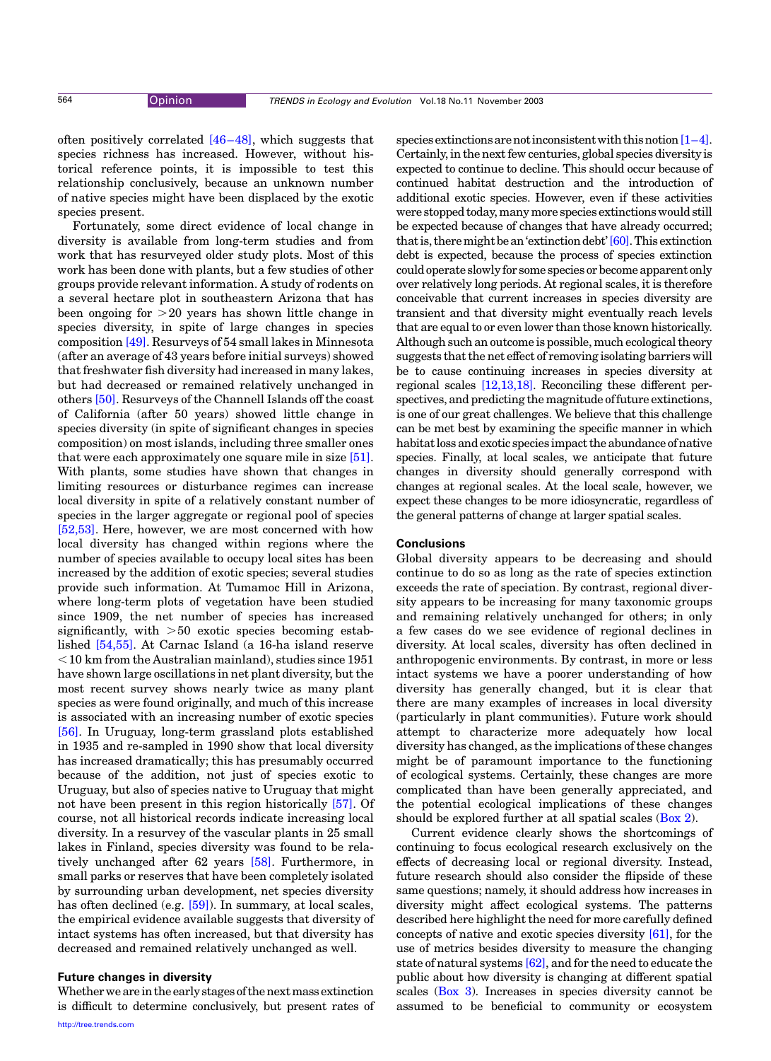often positively correlated  $[46-48]$ , which suggests that species richness has increased. However, without historical reference points, it is impossible to test this relationship conclusively, because an unknown number of native species might have been displaced by the exotic species present.

Fortunately, some direct evidence of local change in diversity is available from long-term studies and from work that has resurveyed older study plots. Most of this work has been done with plants, but a few studies of other groups provide relevant information. A study of rodents on a several hectare plot in southeastern Arizona that has been ongoing for  $>20$  years has shown little change in species diversity, in spite of large changes in species composition [\[49\]](#page-5-0). Resurveys of 54 small lakes in Minnesota (after an average of 43 years before initial surveys) showed that freshwater fish diversity had increased in many lakes, but had decreased or remained relatively unchanged in others [\[50\]](#page-5-0). Resurveys of the Channell Islands off the coast of California (after 50 years) showed little change in species diversity (in spite of significant changes in species composition) on most islands, including three smaller ones that were each approximately one square mile in size [\[51\]](#page-5-0). With plants, some studies have shown that changes in limiting resources or disturbance regimes can increase local diversity in spite of a relatively constant number of species in the larger aggregate or regional pool of species [\[52,53\].](#page-5-0) Here, however, we are most concerned with how local diversity has changed within regions where the number of species available to occupy local sites has been increased by the addition of exotic species; several studies provide such information. At Tumamoc Hill in Arizona, where long-term plots of vegetation have been studied since 1909, the net number of species has increased significantly, with  $>50$  exotic species becoming established [\[54,55\].](#page-5-0) At Carnac Island (a 16-ha island reserve  $<$  10 km from the Australian mainland), studies since 1951 have shown large oscillations in net plant diversity, but the most recent survey shows nearly twice as many plant species as were found originally, and much of this increase is associated with an increasing number of exotic species [\[56\].](#page-5-0) In Uruguay, long-term grassland plots established in 1935 and re-sampled in 1990 show that local diversity has increased dramatically; this has presumably occurred because of the addition, not just of species exotic to Uruguay, but also of species native to Uruguay that might not have been present in this region historically [\[57\]](#page-5-0). Of course, not all historical records indicate increasing local diversity. In a resurvey of the vascular plants in 25 small lakes in Finland, species diversity was found to be relatively unchanged after 62 years [\[58\].](#page-5-0) Furthermore, in small parks or reserves that have been completely isolated by surrounding urban development, net species diversity has often declined (e.g. [\[59\]](#page-5-0)). In summary, at local scales, the empirical evidence available suggests that diversity of intact systems has often increased, but that diversity has decreased and remained relatively unchanged as well.

#### Future changes in diversity

Whether we are in the early stages of the next mass extinction is difficult to determine conclusively, but present rates of species extinctions are not inconsistent with this notion  $[1-4]$ . Certainly, in the next few centuries, global species diversity is expected to continue to decline. This should occur because of continued habitat destruction and the introduction of additional exotic species. However, even if these activities were stopped today, many more species extinctions would still be expected because of changes that have already occurred; that is, there might be an 'extinction debt'  $[60]$ . This extinction debt is expected, because the process of species extinction could operate slowly for some species or become apparent only over relatively long periods. At regional scales, it is therefore conceivable that current increases in species diversity are transient and that diversity might eventually reach levels that are equal to or even lower than those known historically. Although such an outcome is possible, much ecological theory suggests that the net effect of removing isolating barriers will be to cause continuing increases in species diversity at regional scales [\[12,13,18\]](#page-4-0). Reconciling these different perspectives, and predicting the magnitude offuture extinctions, is one of our great challenges. We believe that this challenge can be met best by examining the specific manner in which habitat loss and exotic species impact the abundance of native species. Finally, at local scales, we anticipate that future changes in diversity should generally correspond with changes at regional scales. At the local scale, however, we expect these changes to be more idiosyncratic, regardless of the general patterns of change at larger spatial scales.

## **Conclusions**

Global diversity appears to be decreasing and should continue to do so as long as the rate of species extinction exceeds the rate of speciation. By contrast, regional diversity appears to be increasing for many taxonomic groups and remaining relatively unchanged for others; in only a few cases do we see evidence of regional declines in diversity. At local scales, diversity has often declined in anthropogenic environments. By contrast, in more or less intact systems we have a poorer understanding of how diversity has generally changed, but it is clear that there are many examples of increases in local diversity (particularly in plant communities). Future work should attempt to characterize more adequately how local diversity has changed, as the implications of these changes might be of paramount importance to the functioning of ecological systems. Certainly, these changes are more complicated than have been generally appreciated, and the potential ecological implications of these changes should be explored further at all spatial scales  $(Box 2)$ .

Current evidence clearly shows the shortcomings of continuing to focus ecological research exclusively on the effects of decreasing local or regional diversity. Instead, future research should also consider the flipside of these same questions; namely, it should address how increases in diversity might affect ecological systems. The patterns described here highlight the need for more carefully defined concepts of native and exotic species diversity [\[61\],](#page-5-0) for the use of metrics besides diversity to measure the changing state of natural systems [\[62\]](#page-5-0), and for the need to educate the public about how diversity is changing at different spatial scales [\(Box 3\)](#page-4-0). Increases in species diversity cannot be assumed to be beneficial to community or ecosystem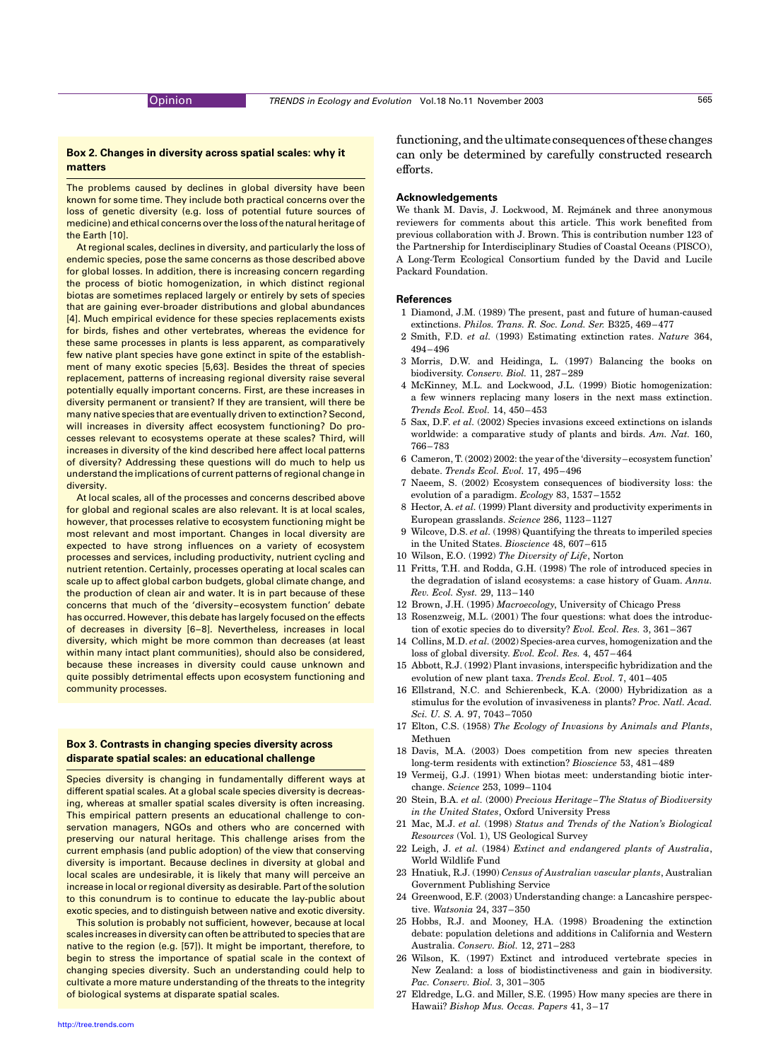<span id="page-4-0"></span>The problems caused by declines in global diversity have been known for some time. They include both practical concerns over the loss of genetic diversity (e.g. loss of potential future sources of medicine) and ethical concerns over the loss of the natural heritage of the Earth [10].

At regional scales, declines in diversity, and particularly the loss of endemic species, pose the same concerns as those described above for global losses. In addition, there is increasing concern regarding the process of biotic homogenization, in which distinct regional biotas are sometimes replaced largely or entirely by sets of species that are gaining ever-broader distributions and global abundances [4]. Much empirical evidence for these species replacements exists for birds, fishes and other vertebrates, whereas the evidence for these same processes in plants is less apparent, as comparatively few native plant species have gone extinct in spite of the establishment of many exotic species [5,63]. Besides the threat of species replacement, patterns of increasing regional diversity raise several potentially equally important concerns. First, are these increases in diversity permanent or transient? If they are transient, will there be many native species that are eventually driven to extinction? Second, will increases in diversity affect ecosystem functioning? Do processes relevant to ecosystems operate at these scales? Third, will increases in diversity of the kind described here affect local patterns of diversity? Addressing these questions will do much to help us understand the implications of current patterns of regional change in diversity.

At local scales, all of the processes and concerns described above for global and regional scales are also relevant. It is at local scales, however, that processes relative to ecosystem functioning might be most relevant and most important. Changes in local diversity are expected to have strong influences on a variety of ecosystem processes and services, including productivity, nutrient cycling and nutrient retention. Certainly, processes operating at local scales can scale up to affect global carbon budgets, global climate change, and the production of clean air and water. It is in part because of these concerns that much of the 'diversity–ecosystem function' debate has occurred. However, this debate has largely focused on the effects of decreases in diversity [6–8]. Nevertheless, increases in local diversity, which might be more common than decreases (at least within many intact plant communities), should also be considered, because these increases in diversity could cause unknown and quite possibly detrimental effects upon ecosystem functioning and community processes.

#### Box 3. Contrasts in changing species diversity across disparate spatial scales: an educational challenge

Species diversity is changing in fundamentally different ways at different spatial scales. At a global scale species diversity is decreasing, whereas at smaller spatial scales diversity is often increasing. This empirical pattern presents an educational challenge to conservation managers, NGOs and others who are concerned with preserving our natural heritage. This challenge arises from the current emphasis (and public adoption) of the view that conserving diversity is important. Because declines in diversity at global and local scales are undesirable, it is likely that many will perceive an increase in local or regional diversity as desirable. Part of the solution to this conundrum is to continue to educate the lay-public about exotic species, and to distinguish between native and exotic diversity.

This solution is probably not sufficient, however, because at local scales increases in diversity can often be attributed to species that are native to the region (e.g. [57]). It might be important, therefore, to begin to stress the importance of spatial scale in the context of changing species diversity. Such an understanding could help to cultivate a more mature understanding of the threats to the integrity of biological systems at disparate spatial scales.

functioning, and the ultimate consequences of these changes can only be determined by carefully constructed research efforts.

### Acknowledgements

We thank M. Davis, J. Lockwood, M. Rejmánek and three anonymous reviewers for comments about this article. This work benefited from previous collaboration with J. Brown. This is contribution number 123 of the Partnership for Interdisciplinary Studies of Coastal Oceans (PISCO), A Long-Term Ecological Consortium funded by the David and Lucile Packard Foundation.

#### References

- 1 Diamond, J.M. (1989) The present, past and future of human-caused extinctions. Philos. Trans. R. Soc. Lond. Ser. B325, 469–477
- 2 Smith, F.D. et al. (1993) Estimating extinction rates. Nature 364, 494–496
- 3 Morris, D.W. and Heidinga, L. (1997) Balancing the books on biodiversity. Conserv. Biol. 11, 287–289
- 4 McKinney, M.L. and Lockwood, J.L. (1999) Biotic homogenization: a few winners replacing many losers in the next mass extinction. Trends Ecol. Evol. 14, 450–453
- 5 Sax, D.F. et al. (2002) Species invasions exceed extinctions on islands worldwide: a comparative study of plants and birds. Am. Nat. 160, 766–783
- 6 Cameron, T. (2002) 2002: the year of the 'diversity–ecosystem function' debate. Trends Ecol. Evol. 17, 495–496
- 7 Naeem, S. (2002) Ecosystem consequences of biodiversity loss: the evolution of a paradigm. Ecology 83, 1537–1552
- 8 Hector, A. et al. (1999) Plant diversity and productivity experiments in European grasslands. Science 286, 1123–1127
- 9 Wilcove, D.S. et al. (1998) Quantifying the threats to imperiled species in the United States. Bioscience 48, 607–615
- 10 Wilson, E.O. (1992) The Diversity of Life, Norton
- 11 Fritts, T.H. and Rodda, G.H. (1998) The role of introduced species in the degradation of island ecosystems: a case history of Guam. Annu. Rev. Ecol. Syst. 29, 113–140
- 12 Brown, J.H. (1995) Macroecology, University of Chicago Press
- 13 Rosenzweig, M.L. (2001) The four questions: what does the introduction of exotic species do to diversity? Evol. Ecol. Res. 3, 361–367
- 14 Collins, M.D. et al. (2002) Species-area curves, homogenization and the loss of global diversity. Evol. Ecol. Res. 4, 457–464
- 15 Abbott, R.J. (1992) Plant invasions, interspecific hybridization and the evolution of new plant taxa. Trends Ecol. Evol. 7, 401–405
- 16 Ellstrand, N.C. and Schierenbeck, K.A. (2000) Hybridization as a stimulus for the evolution of invasiveness in plants? Proc. Natl. Acad. Sci. U. S. A. 97, 7043–7050
- 17 Elton, C.S. (1958) The Ecology of Invasions by Animals and Plants, Methuen
- 18 Davis, M.A. (2003) Does competition from new species threaten long-term residents with extinction? Bioscience 53, 481–489
- 19 Vermeij, G.J. (1991) When biotas meet: understanding biotic interchange. Science 253, 1099–1104
- 20 Stein, B.A. et al. (2000) Precious Heritage–The Status of Biodiversity in the United States, Oxford University Press
- 21 Mac, M.J. et al. (1998) Status and Trends of the Nation's Biological Resources (Vol. 1), US Geological Survey
- 22 Leigh, J. et al. (1984) Extinct and endangered plants of Australia, World Wildlife Fund
- 23 Hnatiuk, R.J. (1990) Census of Australian vascular plants, Australian Government Publishing Service
- 24 Greenwood, E.F. (2003) Understanding change: a Lancashire perspective. Watsonia 24, 337–350
- 25 Hobbs, R.J. and Mooney, H.A. (1998) Broadening the extinction debate: population deletions and additions in California and Western Australia. Conserv. Biol. 12, 271–283
- 26 Wilson, K. (1997) Extinct and introduced vertebrate species in New Zealand: a loss of biodistinctiveness and gain in biodiversity. Pac. Conserv. Biol. 3, 301–305
- 27 Eldredge, L.G. and Miller, S.E. (1995) How many species are there in Hawaii? Bishop Mus. Occas. Papers 41, 3–17